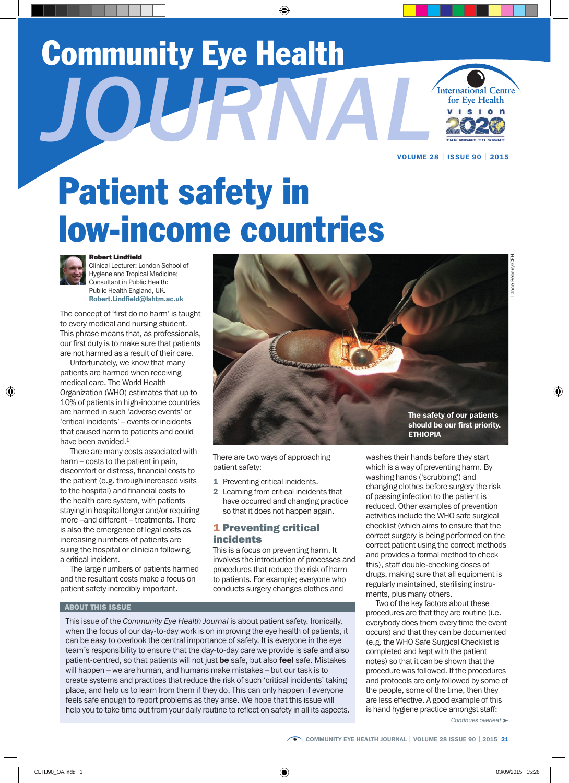# Community Eye Health

*JOURNAL*



VOLUME 28 | ISSUE 90 | 2015

# Patient safety in low-income countries



#### Robert Lindfield

Clinical Lecturer: London School of Hygiene and Tropical Medicine; Consultant in Public Health: Public Health England, UK. Robert.Lindfield@lshtm.ac.uk

The concept of 'first do no harm' is taught to every medical and nursing student. This phrase means that, as professionals, our first duty is to make sure that patients are not harmed as a result of their care.

Unfortunately, we know that many patients are harmed when receiving medical care. The World Health Organization (WHO) estimates that up to 10% of patients in high-income countries are harmed in such 'adverse events' or 'critical incidents' – events or incidents that caused harm to patients and could have been avoided.<sup>1</sup>

There are many costs associated with harm – costs to the patient in pain, discomfort or distress, financial costs to the patient (e.g. through increased visits to the hospital) and financial costs to the health care system, with patients staying in hospital longer and/or requiring more –and different – treatments. There is also the emergence of legal costs as increasing numbers of patients are suing the hospital or clinician following a critical incident.

The large numbers of patients harmed and the resultant costs make a focus on patient safety incredibly important.



There are two ways of approaching patient safety:

- 1 Preventing critical incidents.
- 2 Learning from critical incidents that have occurred and changing practice so that it does not happen again.

### 1 Preventing critical incidents

This is a focus on preventing harm. It involves the introduction of processes and procedures that reduce the risk of harm to patients. For example; everyone who conducts surgery changes clothes and

#### ABOUT THIS ISSUE

This issue of the *Community Eye Health Journal* is about patient safety. Ironically, when the focus of our day-to-day work is on improving the eye health of patients, it can be easy to overlook the central importance of safety. It is everyone in the eye team's responsibility to ensure that the day-to-day care we provide is safe and also patient-centred, so that patients will not just be safe, but also feel safe. Mistakes will happen – we are human, and humans make mistakes – but our task is to create systems and practices that reduce the risk of such 'critical incidents' taking place, and help us to learn from them if they do. This can only happen if everyone feels safe enough to report problems as they arise. We hope that this issue will help you to take time out from your daily routine to reflect on safety in all its aspects. washes their hands before they start which is a way of preventing harm. By washing hands ('scrubbing') and changing clothes before surgery the risk of passing infection to the patient is reduced. Other examples of prevention activities include the WHO safe surgical checklist (which aims to ensure that the correct surgery is being performed on the correct patient using the correct methods and provides a formal method to check this), staff double-checking doses of drugs, making sure that all equipment is regularly maintained, sterilising instruments, plus many others.

Two of the key factors about these procedures are that they are routine (i.e. everybody does them every time the event occurs) and that they can be documented (e.g. the WHO Safe Surgical Checklist is completed and kept with the patient notes) so that it can be shown that the procedure was followed. If the procedures and protocols are only followed by some of the people, some of the time, then they are less effective. A good example of this is hand hygiene practice amongst staff:

Lance Bellers/ICEH Lance Bellers/ICEH

*Continues overleaf* ➤